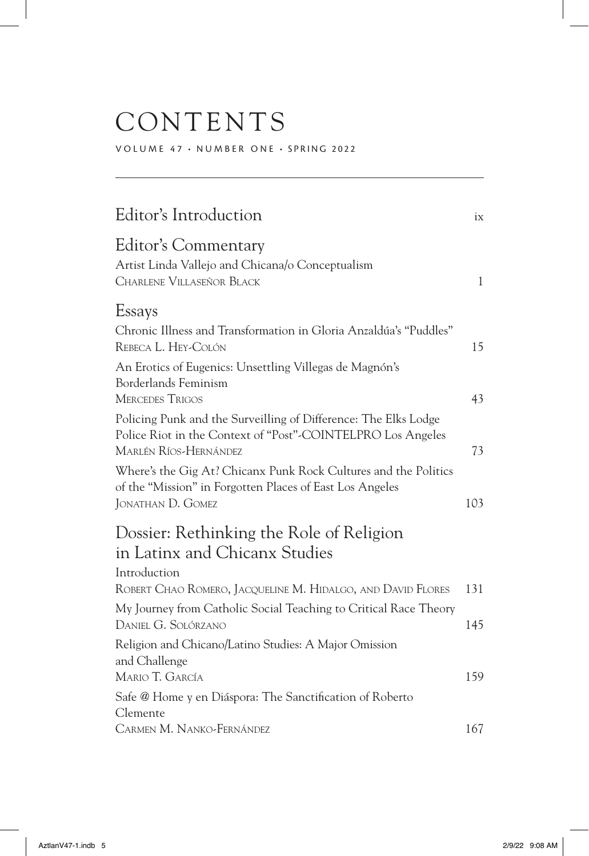## CONTENTS

VOLUME 47 • NUMBER ONE • SPRING 2022

| Editor's Introduction                                                                                                                                   | ix           |
|---------------------------------------------------------------------------------------------------------------------------------------------------------|--------------|
| <b>Editor's Commentary</b><br>Artist Linda Vallejo and Chicana/o Conceptualism<br>CHARLENE VILLASEÑOR BLACK                                             | $\mathbf{1}$ |
| Essays                                                                                                                                                  |              |
| Chronic Illness and Transformation in Gloria Anzaldúa's "Puddles"<br>REBECA L. HEY-COLÓN                                                                | 15           |
| An Erotics of Eugenics: Unsettling Villegas de Magnón's<br>Borderlands Feminism                                                                         |              |
| <b>MERCEDES TRIGOS</b>                                                                                                                                  | 43           |
| Policing Punk and the Surveilling of Difference: The Elks Lodge<br>Police Riot in the Context of "Post"-COINTELPRO Los Angeles<br>MARLÉN RÍOS-HERNÁNDEZ | 73           |
| Where's the Gig At? Chicanx Punk Rock Cultures and the Politics<br>of the "Mission" in Forgotten Places of East Los Angeles<br>JONATHAN D. GOMEZ        | 103          |
| Dossier: Rethinking the Role of Religion<br>in Latinx and Chicanx Studies                                                                               |              |
| Introduction<br>ROBERT CHAO ROMERO, JACQUELINE M. HIDALGO, AND DAVID FLORES                                                                             | 131          |
| My Journey from Catholic Social Teaching to Critical Race Theory<br>DANIEL G. SOLÓRZANO                                                                 | 145          |
| Religion and Chicano/Latino Studies: A Major Omission<br>and Challenge<br>MARIO T. GARCÍA                                                               | 159          |
| Safe @ Home y en Diáspora: The Sanctification of Roberto<br>Clemente                                                                                    |              |
| CARMEN M. NANKO-FERNÁNDEZ                                                                                                                               | 167          |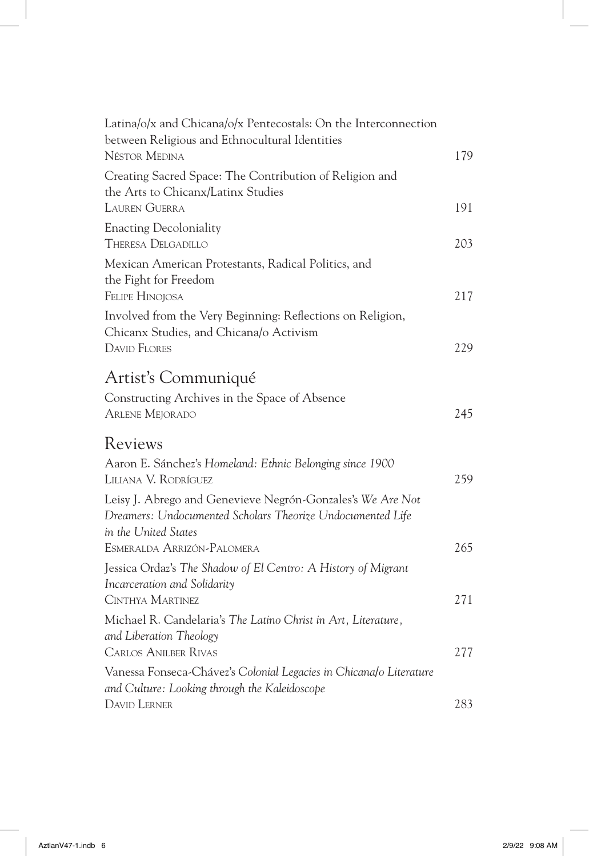| Latina/o/x and Chicana/o/x Pentecostals: On the Interconnection<br>between Religious and Ethnocultural Identities<br><b>NÉSTOR MEDINA</b>        | 179 |
|--------------------------------------------------------------------------------------------------------------------------------------------------|-----|
| Creating Sacred Space: The Contribution of Religion and<br>the Arts to Chicanx/Latinx Studies<br><b>LAUREN GUERRA</b>                            | 191 |
| <b>Enacting Decoloniality</b><br><b>THERESA DELGADILLO</b>                                                                                       | 203 |
| Mexican American Protestants, Radical Politics, and<br>the Fight for Freedom<br><b>FELIPE HINOJOSA</b>                                           | 217 |
| Involved from the Very Beginning: Reflections on Religion,<br>Chicanx Studies, and Chicana/o Activism<br><b>DAVID FLORES</b>                     | 229 |
| Artist's Communiqué<br>Constructing Archives in the Space of Absence<br><b>ARLENE MEJORADO</b>                                                   | 245 |
| Reviews                                                                                                                                          |     |
| Aaron E. Sánchez's Homeland: Ethnic Belonging since 1900<br>LILIANA V. RODRÍGUEZ                                                                 | 259 |
| Leisy J. Abrego and Genevieve Negrón-Gonzales's We Are Not<br>Dreamers: Undocumented Scholars Theorize Undocumented Life<br>in the United States |     |
| ESMERALDA ARRIZÓN-PALOMERA                                                                                                                       | 265 |
| Jessica Ordaz's The Shadow of El Centro: A History of Migrant<br>Incarceration and Solidarity<br>CINTHYA MARTINEZ                                | 271 |
| Michael R. Candelaria's The Latino Christ in Art, Literature,<br>and Liberation Theology                                                         |     |
| <b>CARLOS ANILBER RIVAS</b>                                                                                                                      | 277 |
| Vanessa Fonseca-Chávez's Colonial Legacies in Chicana/o Literature<br>and Culture: Looking through the Kaleidoscope                              |     |
| <b>DAVID LERNER</b>                                                                                                                              | 283 |

 $\overline{\phantom{a}}$